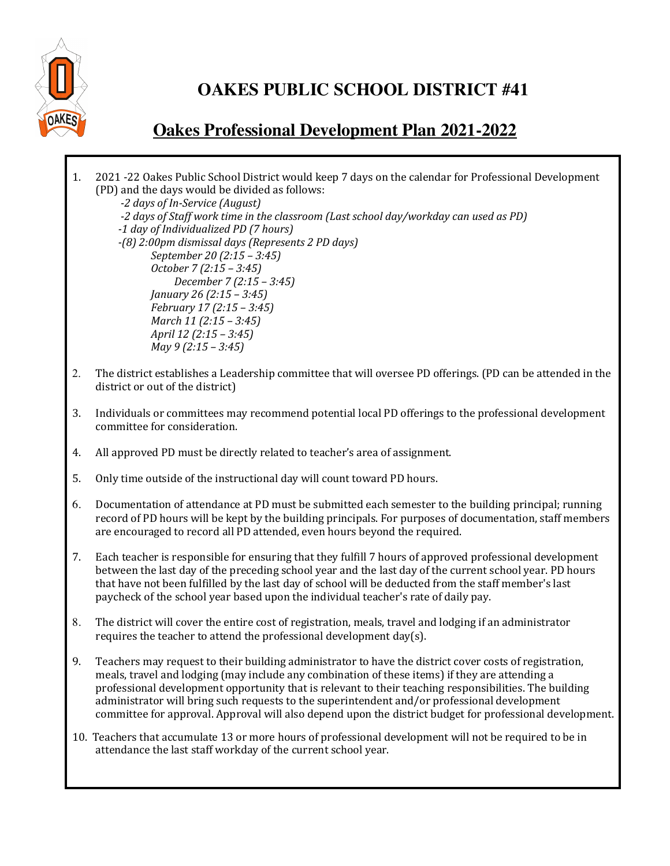

## **OAKES PUBLIC SCHOOL DISTRICT #41**

## **Oakes Professional Development Plan 2021-2022**

1. 2021 -22 Oakes Public School District would keep 7 days on the calendar for Professional Development (PD) and the days would be divided as follows:  *-2 days of In-Service (August)*  -2 days of Staff work time in the classroom *(Last school day/workday can used as PD) -1 day of Individualized PD (7 hours) -(8) 2:00pm dismissal days (Represents 2 PD days) September 20 (2:15 – 3:45) October 7 (2:15 – 3:45) December 7 (2:15 – 3:45) January 26 (2:15 – 3:45) February 17 (2:15 – 3:45) March 11 (2:15 – 3:45) April 12 (2:15 – 3:45) May 9 (2:15 – 3:45)* 2. The district establishes a Leadership committee that will oversee PD offerings. (PD can be attended in the district or out of the district) 3. Individuals or committees may recommend potential local PD offerings to the professional development committee for consideration. 4. All approved PD must be directly related to teacher's area of assignment. 5. Only time outside of the instructional day will count toward PD hours. 6. Documentation of attendance at PD must be submitted each semester to the building principal; running record of PD hours will be kept by the building principals. For purposes of documentation, staff members are encouraged to record all PD attended, even hours beyond the required. 7. Each teacher is responsible for ensuring that they fulfill 7 hours of approved professional development between the last day of the preceding school year and the last day of the current school year. PD hours that have not been fulfilled by the last day of school will be deducted from the staff member's last paycheck of the school year based upon the individual teacher's rate of daily pay. 8. The district will cover the entire cost of registration, meals, travel and lodging if an administrator requires the teacher to attend the professional development  $day(s)$ . 9. Teachers may request to their building administrator to have the district cover costs of registration, meals, travel and lodging (may include any combination of these items) if they are attending a professional development opportunity that is relevant to their teaching responsibilities. The building administrator will bring such requests to the superintendent and/or professional development committee for approval. Approval will also depend upon the district budget for professional development. 10. Teachers that accumulate 13 or more hours of professional development will not be required to be in attendance the last staff workday of the current school year.